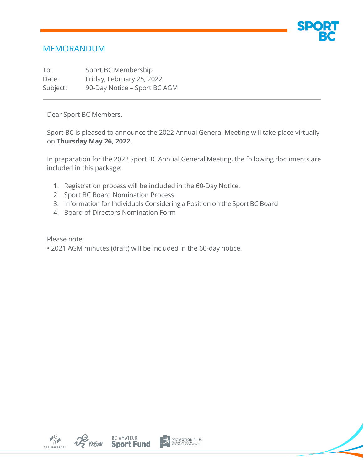

# MEMORANDUM

To: Sport BC Membership Date: Friday, February 25, 2022 Subject: 90-Day Notice – Sport BC AGM

Dear Sport BC Members,

Sport BC is pleased to announce the 2022 Annual General Meeting will take place virtually on **Thursday May 26, 2022.**

In preparation for the 2022 Sport BC Annual General Meeting, the following documents are included in this package:

- 1. Registration process will be included in the 60-Day Notice.
- 2. Sport BC Board Nomination Process
- 3. Information for Individuals Considering a Position on the Sport BC Board
- 4. Board of Directors Nomination Form

Please note:

• 2021 AGM minutes (draft) will be included in the 60-day notice.



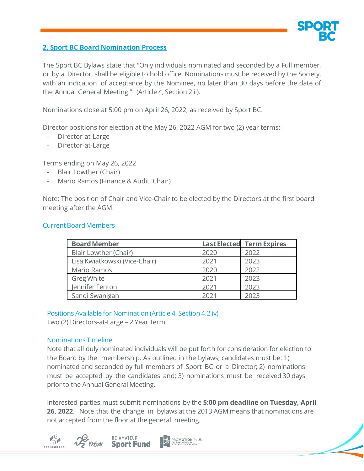

## **2. Sport BC Board Nomination Process**

The Sport BC Bylaws state that "Only individuals nominated and seconded by a Full member, or by a Director, shall be eligible to hold office. Nominations must be received by the Society, with an indication of acceptance by the Nominee, no later than 30 days before the date of the Annual General Meeting." (Article 4, Section 2 ii).

Nominations close at 5:00 pm on April 26, 2022, as received by Sport BC.

Director positions for election at the May 26, 2022 AGM for two (2) year terms:

- Director-at-Large
- Director-at-Large

Terms ending on May 26, 2022

- Blair Lowther (Chair)
- Mario Ramos (Finance & Audit, Chair)

Note: The position of Chair and Vice-Chair to be elected by the Directors at the first board meeting after the AGM.

## **Current Board Members**

| <b>Board Member</b>           |      | <b>Last Elected Term Expires</b> |
|-------------------------------|------|----------------------------------|
| Blair Lowther (Chair)         | 2020 | 2022                             |
| Lisa Kwiatkowski (Vice-Chair) | 2021 | 2023                             |
| Mario Ramos                   | 2020 | 2022                             |
| <b>Greg White</b>             | 2021 | 2023                             |
| Jennifer Fenton               | 2021 | 2023                             |
| Sandi Swanigan                | 2021 | 2023                             |

Positions Available for Nomination (Article 4, Section 4.2 iv)

Two (2) Directors-at-Large – 2 Year Term

## NominationsTimeline

Note that all duly nominated individuals will be put forth for consideration for election to the Board by the membership. As outlined in the bylaws, candidates must be: 1) nominated and seconded by full members of Sport BC or a Director; 2) nominations must be accepted by the candidates and; 3) nominations must be received 30 days prior to the Annual General Meeting.

Interested parties must submit nominations by the **5:00 pm deadline on Tuesday, April 26, 2022**. Note that the change in bylaws at the 2013 AGM means that nominations are not accepted from the floor at the general meeting.

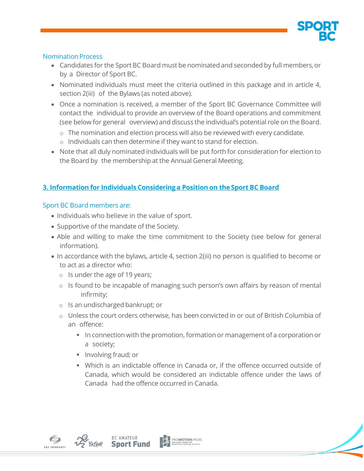

## **Nomination Process**

- Candidates for the Sport BC Board must be nominated and seconded by full members, or by a Director of Sport BC.
- Nominated individuals must meet the criteria outlined in this package and in article 4, section 2(iii) of the Bylaws (as noted above).
- Once a nomination is received, a member of the Sport BC Governance Committee will contact the individual to provide an overview of the Board operations and commitment (see below for general overview) and discuss the individual's potential role on the Board.
	- $\circ$  The nomination and election process will also be reviewed with every candidate.
	- o Individuals can then determine if they want to stand for election.
- Note that all duly nominated individuals will be put forth for consideration for election to the Board by the membership at the Annual General Meeting.

## **3. Information for Individuals Considering a Position on the Sport BC Board**

## Sport BC Board members are:

- Individuals who believe in the value of sport.
- Supportive of the mandate of the Society.
- Able and willing to make the time commitment to the Society (see below for general information).
- In accordance with the bylaws, article 4, section 2(iii) no person is qualified to become or to act as a director who:
	- o Is under the age of 19 years;
	- $\circ$  Is found to be incapable of managing such person's own affairs by reason of mental infirmity;
	- o Is an undischarged bankrupt; or
	- o Unless the court orders otherwise, has been convicted in or out of British Columbia of an offence:
		- In connection with the promotion, formation or management of a corporation or a society;
		- **Involving fraud; or**
		- Which is an indictable offence in Canada or, if the offence occurred outside of Canada, which would be considered an indictable offence under the laws of Canada had the offence occurred in Canada.





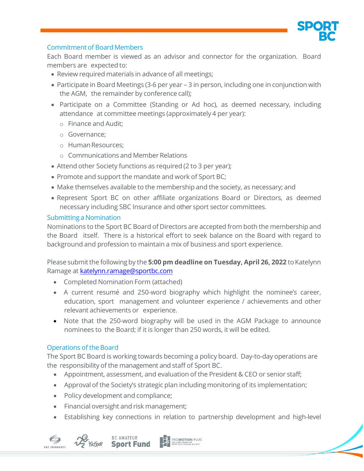## **Commitment of Board Members**

Each Board member is viewed as an advisor and connector for the organization. Board members are expected to:

- Review required materials in advance of all meetings;
- Participate in Board Meetings (3-6 per year 3 in person, including one in conjunction with the AGM, the remainder by conference call);
- Participate on a Committee (Standing or Ad hoc), as deemed necessary, including attendance at committee meetings (approximately 4 per year):
	- o Finance and Audit;
	- o Governance;
	- o HumanResources;
	- o Communications and Member Relations
- Attend other Society functions as required (2 to 3 per year);
- Promote and support the mandate and work of Sport BC;
- Make themselves available to the membership and the society, as necessary; and
- Represent Sport BC on other affiliate organizations Board or Directors, as deemed necessary including SBC Insurance and other sport sector committees.

## Submitting a Nomination

Nominations to the Sport BC Board of Directors are accepted from both the membership and the Board itself. There is a historical effort to seek balance on the Board with regard to background and profession to maintain a mix of business and sport experience.

Please submit the following by the 5:00 pm deadline on Tuesday, April 26, 2022 to Katelynn Ramage at **katelynn.ramage@sportbc.com** 

- Completed Nomination Form (attached)
- A current resumé and 250-word biography which highlight the nominee's career, education, sport management and volunteer experience / achievements and other relevant achievements or experience.
- Note that the 250-word biography will be used in the AGM Package to announce nominees to the Board; if it is longer than 250 words, it will be edited.

## Operations of the Board

The Sport BC Board is working towards becoming a policy board. Day-to-day operations are the responsibility of the management and staff of Sport BC.

- Appointment, assessment, and evaluation of the President & CEO or senior staff;
- Approval of the Society's strategic plan including monitoring of its implementation;
- Policy development and compliance;
- Financial oversight and risk management;

**BC AMATEUR** 

**Sport Fund** 

• Establishing key connections in relation to partnership development and high-level

PROMOTION PLUS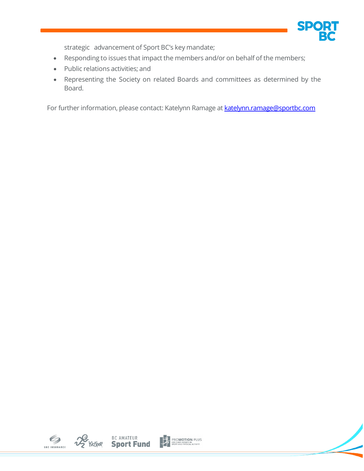

strategic advancement of Sport BC's key mandate;

- Responding to issues that impact the members and/or on behalf of the members;
- Public relations activities; and
- Representing the Society on related Boards and committees as determined by the Board.

For further information, please contact: Katelynn Ramage a[t katelynn.ramage@sportbc.com](mailto:katelynn.ramage@sportbc.com)